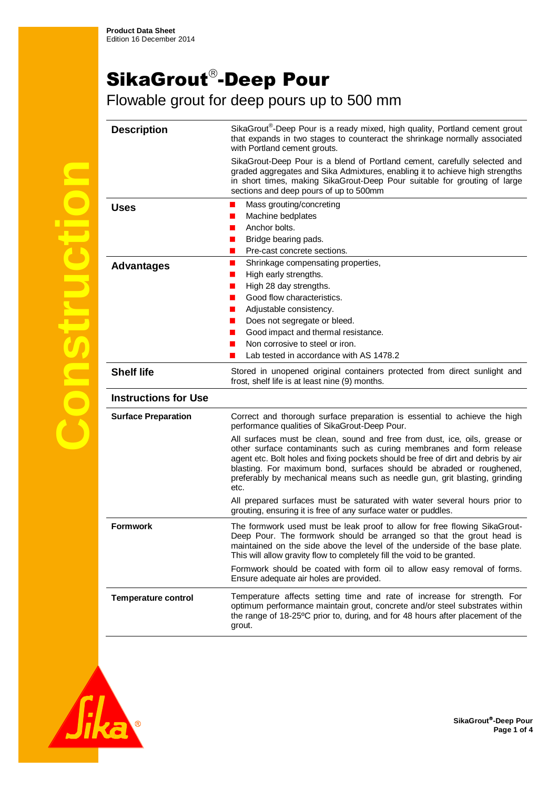## SikaGrout®-Deep Pour

Flowable grout for deep pours up to 500 mm

| <b>Description</b>          | SikaGrout <sup>®</sup> -Deep Pour is a ready mixed, high quality, Portland cement grout<br>that expands in two stages to counteract the shrinkage normally associated<br>with Portland cement grouts.                                                                                                                                                                                                 |
|-----------------------------|-------------------------------------------------------------------------------------------------------------------------------------------------------------------------------------------------------------------------------------------------------------------------------------------------------------------------------------------------------------------------------------------------------|
|                             | SikaGrout-Deep Pour is a blend of Portland cement, carefully selected and<br>graded aggregates and Sika Admixtures, enabling it to achieve high strengths<br>in short times, making SikaGrout-Deep Pour suitable for grouting of large<br>sections and deep pours of up to 500mm                                                                                                                      |
| Uses                        | Mass grouting/concreting<br>■                                                                                                                                                                                                                                                                                                                                                                         |
|                             | Machine bedplates                                                                                                                                                                                                                                                                                                                                                                                     |
|                             | Anchor bolts.<br>n a                                                                                                                                                                                                                                                                                                                                                                                  |
|                             | Bridge bearing pads.<br>ш                                                                                                                                                                                                                                                                                                                                                                             |
|                             | Pre-cast concrete sections.<br>п                                                                                                                                                                                                                                                                                                                                                                      |
| <b>Advantages</b>           | $\blacksquare$<br>Shrinkage compensating properties,                                                                                                                                                                                                                                                                                                                                                  |
|                             | High early strengths.<br>ш                                                                                                                                                                                                                                                                                                                                                                            |
|                             | High 28 day strengths.                                                                                                                                                                                                                                                                                                                                                                                |
|                             | Good flow characteristics.                                                                                                                                                                                                                                                                                                                                                                            |
|                             | Adjustable consistency.                                                                                                                                                                                                                                                                                                                                                                               |
|                             | Does not segregate or bleed.                                                                                                                                                                                                                                                                                                                                                                          |
|                             | Good impact and thermal resistance.                                                                                                                                                                                                                                                                                                                                                                   |
|                             | Non corrosive to steel or iron.                                                                                                                                                                                                                                                                                                                                                                       |
|                             | Lab tested in accordance with AS 1478.2                                                                                                                                                                                                                                                                                                                                                               |
| <b>Shelf life</b>           | Stored in unopened original containers protected from direct sunlight and<br>frost, shelf life is at least nine (9) months.                                                                                                                                                                                                                                                                           |
| <b>Instructions for Use</b> |                                                                                                                                                                                                                                                                                                                                                                                                       |
| <b>Surface Preparation</b>  | Correct and thorough surface preparation is essential to achieve the high<br>performance qualities of SikaGrout-Deep Pour.                                                                                                                                                                                                                                                                            |
|                             | All surfaces must be clean, sound and free from dust, ice, oils, grease or<br>other surface contaminants such as curing membranes and form release<br>agent etc. Bolt holes and fixing pockets should be free of dirt and debris by air<br>blasting. For maximum bond, surfaces should be abraded or roughened,<br>preferably by mechanical means such as needle gun, grit blasting, grinding<br>etc. |
|                             | All prepared surfaces must be saturated with water several hours prior to<br>grouting, ensuring it is free of any surface water or puddles.                                                                                                                                                                                                                                                           |
| <b>Formwork</b>             | The formwork used must be leak proof to allow for free flowing SikaGrout-<br>Deep Pour. The formwork should be arranged so that the grout head is<br>maintained on the side above the level of the underside of the base plate.<br>This will allow gravity flow to completely fill the void to be granted.                                                                                            |
|                             | Formwork should be coated with form oil to allow easy removal of forms.<br>Ensure adequate air holes are provided.                                                                                                                                                                                                                                                                                    |
| <b>Temperature control</b>  | Temperature affects setting time and rate of increase for strength. For<br>optimum performance maintain grout, concrete and/or steel substrates within<br>the range of 18-25°C prior to, during, and for 48 hours after placement of the<br>grout.                                                                                                                                                    |



**Construction**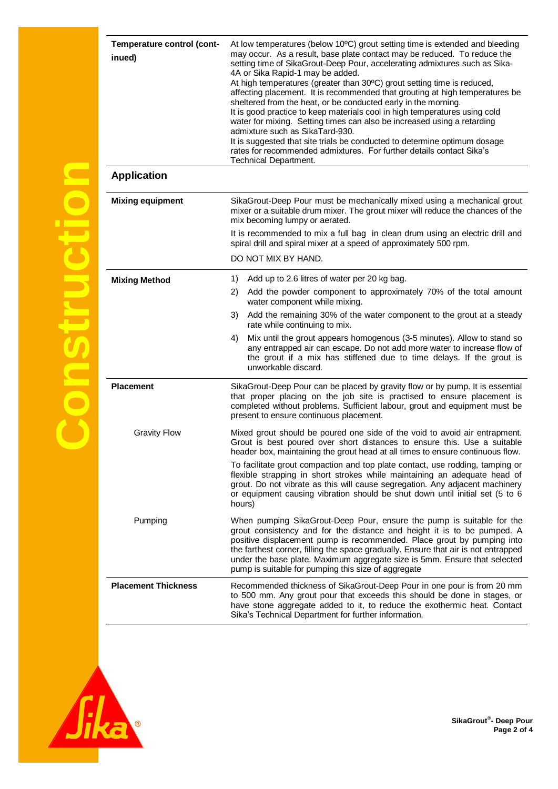| Temperature control (cont-<br>inued) | At low temperatures (below 10°C) grout setting time is extended and bleeding<br>may occur. As a result, base plate contact may be reduced. To reduce the<br>setting time of SikaGrout-Deep Pour, accelerating admixtures such as Sika-<br>4A or Sika Rapid-1 may be added.<br>At high temperatures (greater than 30°C) grout setting time is reduced,<br>affecting placement. It is recommended that grouting at high temperatures be<br>sheltered from the heat, or be conducted early in the morning.<br>It is good practice to keep materials cool in high temperatures using cold<br>water for mixing. Setting times can also be increased using a retarding<br>admixture such as SikaTard-930.<br>It is suggested that site trials be conducted to determine optimum dosage<br>rates for recommended admixtures. For further details contact Sika's<br><b>Technical Department.</b> |
|--------------------------------------|------------------------------------------------------------------------------------------------------------------------------------------------------------------------------------------------------------------------------------------------------------------------------------------------------------------------------------------------------------------------------------------------------------------------------------------------------------------------------------------------------------------------------------------------------------------------------------------------------------------------------------------------------------------------------------------------------------------------------------------------------------------------------------------------------------------------------------------------------------------------------------------|
| <b>Application</b>                   |                                                                                                                                                                                                                                                                                                                                                                                                                                                                                                                                                                                                                                                                                                                                                                                                                                                                                          |
| <b>Mixing equipment</b>              | SikaGrout-Deep Pour must be mechanically mixed using a mechanical grout<br>mixer or a suitable drum mixer. The grout mixer will reduce the chances of the<br>mix becoming lumpy or aerated.                                                                                                                                                                                                                                                                                                                                                                                                                                                                                                                                                                                                                                                                                              |
|                                      | It is recommended to mix a full bag in clean drum using an electric drill and<br>spiral drill and spiral mixer at a speed of approximately 500 rpm.                                                                                                                                                                                                                                                                                                                                                                                                                                                                                                                                                                                                                                                                                                                                      |
|                                      | DO NOT MIX BY HAND.                                                                                                                                                                                                                                                                                                                                                                                                                                                                                                                                                                                                                                                                                                                                                                                                                                                                      |
| <b>Mixing Method</b>                 | Add up to 2.6 litres of water per 20 kg bag.<br>1)                                                                                                                                                                                                                                                                                                                                                                                                                                                                                                                                                                                                                                                                                                                                                                                                                                       |
|                                      | Add the powder component to approximately 70% of the total amount<br>2)<br>water component while mixing.                                                                                                                                                                                                                                                                                                                                                                                                                                                                                                                                                                                                                                                                                                                                                                                 |
|                                      | Add the remaining 30% of the water component to the grout at a steady<br>3)<br>rate while continuing to mix.                                                                                                                                                                                                                                                                                                                                                                                                                                                                                                                                                                                                                                                                                                                                                                             |
|                                      | Mix until the grout appears homogenous (3-5 minutes). Allow to stand so<br>4)<br>any entrapped air can escape. Do not add more water to increase flow of<br>the grout if a mix has stiffened due to time delays. If the grout is<br>unworkable discard.                                                                                                                                                                                                                                                                                                                                                                                                                                                                                                                                                                                                                                  |
| <b>Placement</b>                     | SikaGrout-Deep Pour can be placed by gravity flow or by pump. It is essential<br>that proper placing on the job site is practised to ensure placement is<br>completed without problems. Sufficient labour, grout and equipment must be<br>present to ensure continuous placement.                                                                                                                                                                                                                                                                                                                                                                                                                                                                                                                                                                                                        |
| <b>Gravity Flow</b>                  | Mixed grout should be poured one side of the void to avoid air entrapment.<br>Grout is best poured over short distances to ensure this. Use a suitable<br>header box, maintaining the grout head at all times to ensure continuous flow.                                                                                                                                                                                                                                                                                                                                                                                                                                                                                                                                                                                                                                                 |
|                                      | To facilitate grout compaction and top plate contact, use rodding, tamping or<br>flexible strapping in short strokes while maintaining an adequate head of<br>grout. Do not vibrate as this will cause segregation. Any adjacent machinery<br>or equipment causing vibration should be shut down until initial set (5 to 6<br>hours)                                                                                                                                                                                                                                                                                                                                                                                                                                                                                                                                                     |
| Pumping                              | When pumping SikaGrout-Deep Pour, ensure the pump is suitable for the<br>grout consistency and for the distance and height it is to be pumped. A<br>positive displacement pump is recommended. Place grout by pumping into<br>the farthest corner, filling the space gradually. Ensure that air is not entrapped<br>under the base plate. Maximum aggregate size is 5mm. Ensure that selected<br>pump is suitable for pumping this size of aggregate                                                                                                                                                                                                                                                                                                                                                                                                                                     |
| <b>Placement Thickness</b>           | Recommended thickness of SikaGrout-Deep Pour in one pour is from 20 mm<br>to 500 mm. Any grout pour that exceeds this should be done in stages, or<br>have stone aggregate added to it, to reduce the exothermic heat. Contact<br>Sika's Technical Department for further information.                                                                                                                                                                                                                                                                                                                                                                                                                                                                                                                                                                                                   |



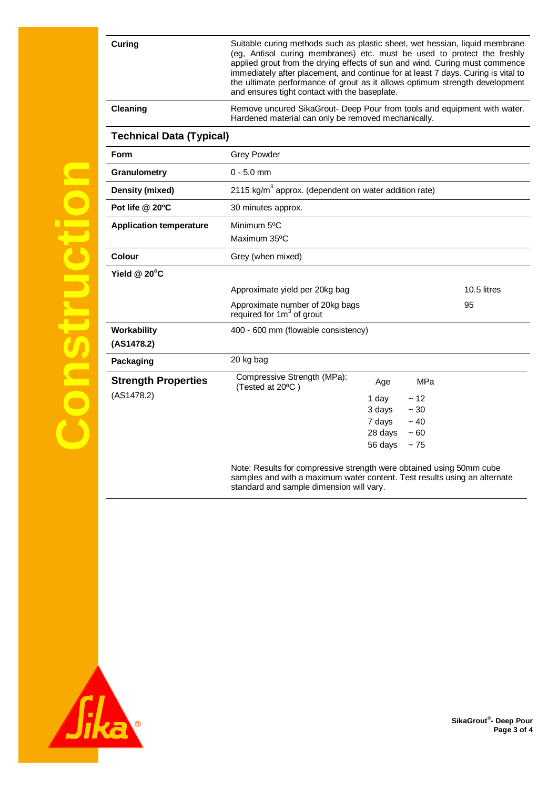| Curing                                   | Suitable curing methods such as plastic sheet, wet hessian, liquid membrane<br>(eg, Antisol curing membranes) etc. must be used to protect the freshly<br>applied grout from the drying effects of sun and wind. Curing must commence<br>immediately after placement, and continue for at least 7 days. Curing is vital to<br>the ultimate performance of grout as it allows optimum strength development<br>and ensures tight contact with the baseplate. |  |
|------------------------------------------|------------------------------------------------------------------------------------------------------------------------------------------------------------------------------------------------------------------------------------------------------------------------------------------------------------------------------------------------------------------------------------------------------------------------------------------------------------|--|
| Cleaning                                 | Remove uncured SikaGrout- Deep Pour from tools and equipment with water.<br>Hardened material can only be removed mechanically.                                                                                                                                                                                                                                                                                                                            |  |
| <b>Technical Data (Typical)</b>          |                                                                                                                                                                                                                                                                                                                                                                                                                                                            |  |
| <b>Form</b>                              | <b>Grey Powder</b>                                                                                                                                                                                                                                                                                                                                                                                                                                         |  |
| Granulometry                             | $0 - 5.0$ mm                                                                                                                                                                                                                                                                                                                                                                                                                                               |  |
| Density (mixed)                          | 2115 $\text{kg/m}^3$ approx. (dependent on water addition rate)                                                                                                                                                                                                                                                                                                                                                                                            |  |
| Pot life @ 20°C                          | 30 minutes approx.                                                                                                                                                                                                                                                                                                                                                                                                                                         |  |
| <b>Application temperature</b>           | Minimum 5°C                                                                                                                                                                                                                                                                                                                                                                                                                                                |  |
|                                          | Maximum 35°C                                                                                                                                                                                                                                                                                                                                                                                                                                               |  |
| Colour                                   | Grey (when mixed)                                                                                                                                                                                                                                                                                                                                                                                                                                          |  |
| Yield @ 20°C                             |                                                                                                                                                                                                                                                                                                                                                                                                                                                            |  |
|                                          | Approximate yield per 20kg bag<br>10.5 litres                                                                                                                                                                                                                                                                                                                                                                                                              |  |
|                                          | Approximate number of 20kg bags<br>95<br>required for $1m3$ of grout                                                                                                                                                                                                                                                                                                                                                                                       |  |
| Workability<br>(AS1478.2)                | 400 - 600 mm (flowable consistency)                                                                                                                                                                                                                                                                                                                                                                                                                        |  |
| Packaging                                | 20 kg bag                                                                                                                                                                                                                                                                                                                                                                                                                                                  |  |
| <b>Strength Properties</b><br>(AS1478.2) | Compressive Strength (MPa):<br>MPa<br>Age<br>(Tested at 20°C)<br>1 day<br>~12<br>3 days<br>$\sim 30$<br>7 days<br>~10<br>28 days<br>~100                                                                                                                                                                                                                                                                                                                   |  |
|                                          | 56 days<br>~175                                                                                                                                                                                                                                                                                                                                                                                                                                            |  |
|                                          | Note: Results for compressive strength were obtained using 50mm cube                                                                                                                                                                                                                                                                                                                                                                                       |  |

samples and with a maximum water content. Test results using an alternate standard and sample dimension will vary.



**Construction** 

**SikaGrout® - Deep Pour Page 3 of 4**